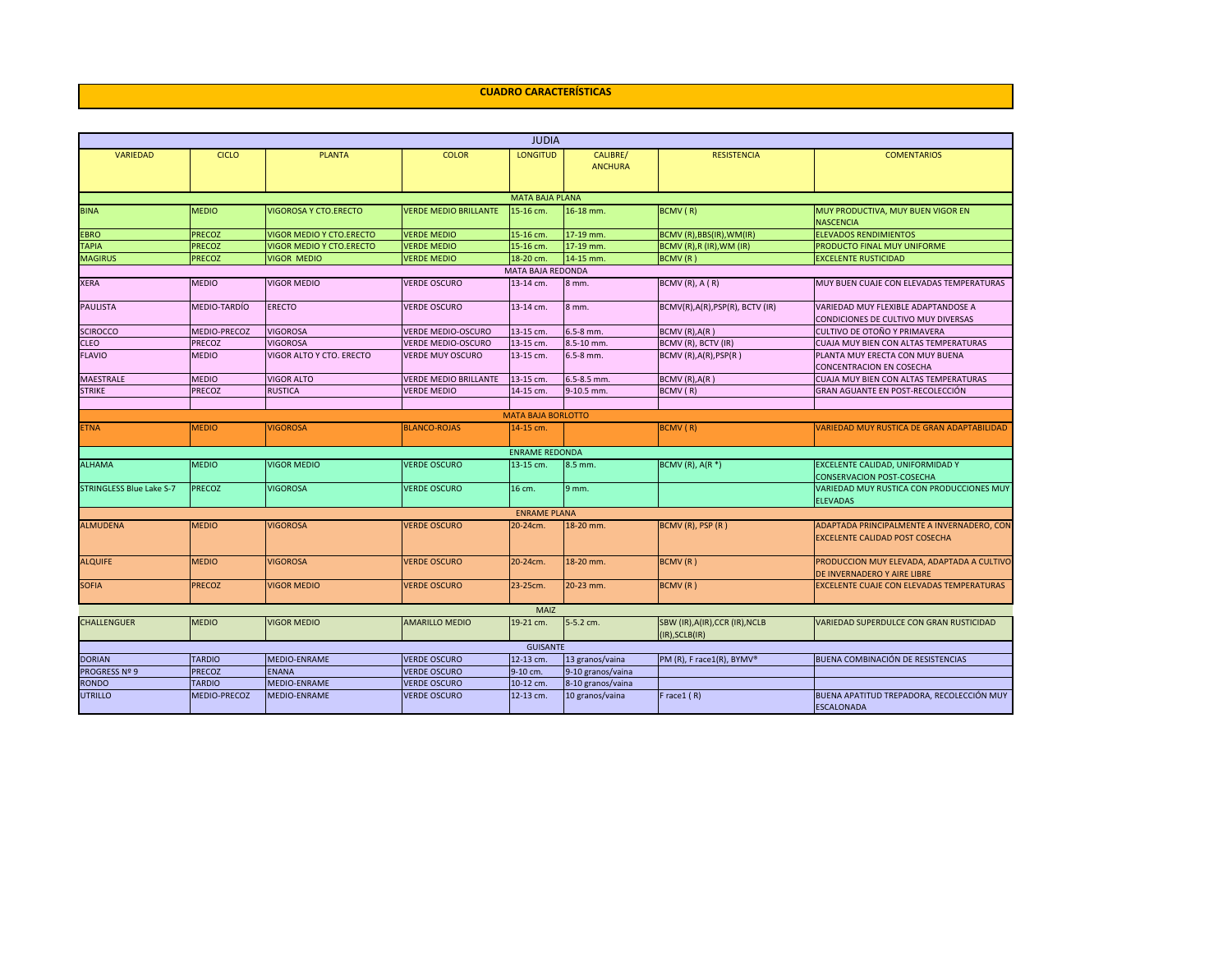## **CUADRO CARACTERÍSTICAS**

| <b>JUDIA</b>                    |                                                                                                                                                                                                |                                 |                              |                           |                   |                                |                                                                            |  |  |  |  |
|---------------------------------|------------------------------------------------------------------------------------------------------------------------------------------------------------------------------------------------|---------------------------------|------------------------------|---------------------------|-------------------|--------------------------------|----------------------------------------------------------------------------|--|--|--|--|
| <b>VARIEDAD</b>                 | <b>CICLO</b>                                                                                                                                                                                   | <b>PLANTA</b>                   | <b>COLOR</b>                 | <b>LONGITUD</b>           | CALIBRE/          | <b>RESISTENCIA</b>             | <b>COMENTARIOS</b>                                                         |  |  |  |  |
|                                 |                                                                                                                                                                                                |                                 |                              |                           | <b>ANCHURA</b>    |                                |                                                                            |  |  |  |  |
|                                 |                                                                                                                                                                                                |                                 |                              |                           |                   |                                |                                                                            |  |  |  |  |
| <b>MATA BAJA PLANA</b>          |                                                                                                                                                                                                |                                 |                              |                           |                   |                                |                                                                            |  |  |  |  |
| <b>BINA</b>                     | <b>MEDIO</b>                                                                                                                                                                                   | <b>VIGOROSA Y CTO.ERECTO</b>    | <b>VERDE MEDIO BRILLANTE</b> | 15-16 cm.                 | 16-18 mm.         | BCMV (R)                       | MUY PRODUCTIVA, MUY BUEN VIGOR EN<br><b>NASCENCIA</b>                      |  |  |  |  |
| <b>EBRO</b>                     | <b>PRECOZ</b>                                                                                                                                                                                  | VIGOR MEDIO Y CTO.ERECTO        | <b>VERDE MEDIO</b>           | 15-16 cm.                 | 17-19 mm.         | BCMV (R), BBS(IR), WM(IR)      | <b>ELEVADOS RENDIMIENTOS</b>                                               |  |  |  |  |
| <b>TAPIA</b>                    | <b>PRECOZ</b>                                                                                                                                                                                  | <b>VIGOR MEDIO Y CTO.ERECTO</b> | <b>VERDE MEDIO</b>           | 15-16 cm.                 | 17-19 mm.         | BCMV (R), R (IR), WM (IR)      | PRODUCTO FINAL MUY UNIFORME                                                |  |  |  |  |
| <b>MAGIRUS</b>                  | <b>PRECOZ</b>                                                                                                                                                                                  | <b>VIGOR MEDIO</b>              | <b>VERDE MEDIO</b>           | 18-20 cm.                 | 14-15 mm.         | BCMV(R)                        | <b>EXCELENTE RUSTICIDAD</b>                                                |  |  |  |  |
| MATA BAJA REDONDA               |                                                                                                                                                                                                |                                 |                              |                           |                   |                                |                                                                            |  |  |  |  |
| <b>XERA</b>                     | <b>MEDIO</b>                                                                                                                                                                                   | <b>VIGOR MEDIO</b>              | <b>VERDE OSCURO</b>          | 13-14 cm.                 | 8 mm.             | BCMV (R), A (R)                | MUY BUEN CUAJE CON ELEVADAS TEMPERATURAS                                   |  |  |  |  |
| PAULISTA                        | MEDIO-TARDÍO                                                                                                                                                                                   | <b>ERECTO</b>                   | <b>VERDE OSCURO</b>          | 13-14 cm.                 | 8 mm.             | BCMV(R),A(R),PSP(R), BCTV (IR) | VARIEDAD MUY FLEXIBLE ADAPTANDOSE A<br>CONDICIONES DE CULTIVO MUY DIVERSAS |  |  |  |  |
| <b>SCIROCCO</b>                 | <b>MEDIO-PRECOZ</b>                                                                                                                                                                            | <b>VIGOROSA</b>                 | <b>VERDE MEDIO-OSCURO</b>    | 13-15 cm.                 | 6.5-8 mm.         | BCMV (R), A(R)                 | CULTIVO DE OTOÑO Y PRIMAVERA                                               |  |  |  |  |
| <b>CLEO</b>                     | <b>PRECOZ</b>                                                                                                                                                                                  | <b>VIGOROSA</b>                 | <b>VERDE MEDIO-OSCURO</b>    | 13-15 cm.                 | 8.5-10 mm.        | BCMV (R), BCTV (IR)            | CUAJA MUY BIEN CON ALTAS TEMPERATURAS                                      |  |  |  |  |
| <b>FLAVIO</b>                   | <b>MEDIO</b>                                                                                                                                                                                   | VIGOR ALTO Y CTO, ERECTO        | <b>VERDE MUY OSCURO</b>      | 13-15 cm.                 | 6.5-8 mm.         | BCMV (R), A(R), PSP(R)         | PLANTA MUY ERECTA CON MUY BUENA                                            |  |  |  |  |
|                                 |                                                                                                                                                                                                |                                 |                              |                           |                   |                                | CONCENTRACION EN COSECHA                                                   |  |  |  |  |
| MAESTRALE                       | <b>MEDIO</b>                                                                                                                                                                                   | <b>VIGOR ALTO</b>               | <b>VERDE MEDIO BRILLANTE</b> | 13-15 cm.                 | 6.5-8.5 mm.       | BCMV (R), A(R)                 | CUAJA MUY BIEN CON ALTAS TEMPERATURAS                                      |  |  |  |  |
| <b>STRIKE</b>                   | <b>PRECOZ</b>                                                                                                                                                                                  | <b>RUSTICA</b>                  | <b>VERDE MEDIO</b>           | 14-15 cm.                 | 9-10.5 mm.        | BCMV (R)                       | GRAN AGUANTE EN POST-RECOLECCIÓN                                           |  |  |  |  |
|                                 |                                                                                                                                                                                                |                                 |                              |                           |                   |                                |                                                                            |  |  |  |  |
|                                 |                                                                                                                                                                                                |                                 |                              | <b>MATA BAJA BORLOTTO</b> |                   |                                |                                                                            |  |  |  |  |
| <b>ETNA</b>                     | <b>MEDIO</b>                                                                                                                                                                                   | <b>VIGOROSA</b>                 | <b>BLANCO-ROJAS</b>          | 14-15 cm.                 |                   | BCMV (R)                       | VARIEDAD MUY RUSTICA DE GRAN ADAPTABILIDAD                                 |  |  |  |  |
|                                 |                                                                                                                                                                                                |                                 |                              |                           |                   |                                |                                                                            |  |  |  |  |
|                                 |                                                                                                                                                                                                |                                 |                              | <b>ENRAME REDONDA</b>     |                   |                                |                                                                            |  |  |  |  |
| <b>ALHAMA</b>                   | <b>MEDIO</b>                                                                                                                                                                                   | <b>VIGOR MEDIO</b>              | <b>VERDE OSCURO</b>          | 13-15 cm.                 | 8.5 mm.           | BCMV (R), $A(R^*)$             | EXCELENTE CALIDAD, UNIFORMIDAD Y                                           |  |  |  |  |
|                                 |                                                                                                                                                                                                |                                 |                              |                           |                   |                                | <b>CONSERVACION POST-COSECHA</b>                                           |  |  |  |  |
| <b>STRINGLESS Blue Lake S-7</b> | <b>PRECOZ</b>                                                                                                                                                                                  | <b>VIGOROSA</b>                 | <b>VERDE OSCURO</b>          | 16 cm.                    | 9 mm.             |                                | VARIEDAD MUY RUSTICA CON PRODUCCIONES MUY                                  |  |  |  |  |
|                                 |                                                                                                                                                                                                |                                 |                              |                           |                   |                                | <b>ELEVADAS</b>                                                            |  |  |  |  |
|                                 |                                                                                                                                                                                                |                                 |                              | <b>ENRAME PLANA</b>       |                   |                                |                                                                            |  |  |  |  |
| <b>ALMUDENA</b>                 | <b>MEDIO</b>                                                                                                                                                                                   | <b>VIGOROSA</b>                 | <b>VERDE OSCURO</b>          | 20-24cm.                  | 18-20 mm.         | BCMV (R), PSP (R)              | ADAPTADA PRINCIPALMENTE A INVERNADERO, CON                                 |  |  |  |  |
|                                 |                                                                                                                                                                                                |                                 |                              |                           |                   |                                | <b>EXCELENTE CALIDAD POST COSECHA</b>                                      |  |  |  |  |
|                                 |                                                                                                                                                                                                |                                 |                              |                           |                   |                                |                                                                            |  |  |  |  |
| <b>ALQUIFE</b>                  | <b>MEDIO</b>                                                                                                                                                                                   | <b>VIGOROSA</b>                 | <b>VERDE OSCURO</b>          | 20-24cm.                  | 18-20 mm.         | BCMV(R)                        | PRODUCCION MUY ELEVADA, ADAPTADA A CULTIVO<br>DE INVERNADERO Y AIRE LIBRE  |  |  |  |  |
| <b>SOFIA</b>                    | <b>PRECOZ</b>                                                                                                                                                                                  | <b>VIGOR MEDIO</b>              | <b>VERDE OSCURO</b>          | 23-25cm.                  | 20-23 mm.         | BCMV(R)                        | EXCELENTE CUAJE CON ELEVADAS TEMPERATURAS                                  |  |  |  |  |
|                                 |                                                                                                                                                                                                |                                 |                              |                           |                   |                                |                                                                            |  |  |  |  |
| <b>CHALLENGUER</b>              |                                                                                                                                                                                                |                                 |                              |                           |                   |                                |                                                                            |  |  |  |  |
|                                 |                                                                                                                                                                                                |                                 |                              |                           |                   | (IR), SCLB(IR)                 |                                                                            |  |  |  |  |
|                                 | MAIZ<br>5-5.2 cm.<br><b>MEDIO</b><br><b>VIGOR MEDIO</b><br><b>AMARILLO MEDIO</b><br>19-21 cm.<br>SBW (IR), A(IR), CCR (IR), NCLB<br>VARIEDAD SUPERDULCE CON GRAN RUSTICIDAD<br><b>GUISANTE</b> |                                 |                              |                           |                   |                                |                                                                            |  |  |  |  |
| <b>DORIAN</b>                   | <b>TARDIO</b>                                                                                                                                                                                  | <b>MEDIO-ENRAME</b>             | <b>VERDE OSCURO</b>          | 12-13 cm.                 | 13 granos/vaina   | PM (R), F race1(R), BYMV®      | BUENA COMBINACIÓN DE RESISTENCIAS                                          |  |  |  |  |
| PROGRESS Nº 9                   | <b>PRECOZ</b>                                                                                                                                                                                  | <b>ENANA</b>                    | <b>VERDE OSCURO</b>          | 9-10 cm.                  | 9-10 granos/vaina |                                |                                                                            |  |  |  |  |
| RONDO                           | <b>TARDIO</b>                                                                                                                                                                                  | <b>MEDIO-ENRAME</b>             | <b>VERDE OSCURO</b>          | 10-12 cm.                 | 8-10 granos/vaina |                                |                                                                            |  |  |  |  |
| <b>UTRILLO</b>                  | <b>MEDIO-PRECOZ</b>                                                                                                                                                                            | <b>MEDIO-ENRAME</b>             | <b>VERDE OSCURO</b>          | 12-13 cm.                 | 10 granos/vaina   | Frace $1(R)$                   | BUENA APATITUD TREPADORA, RECOLECCIÓN MUY<br><b>ESCALONADA</b>             |  |  |  |  |
|                                 |                                                                                                                                                                                                |                                 |                              |                           |                   |                                |                                                                            |  |  |  |  |